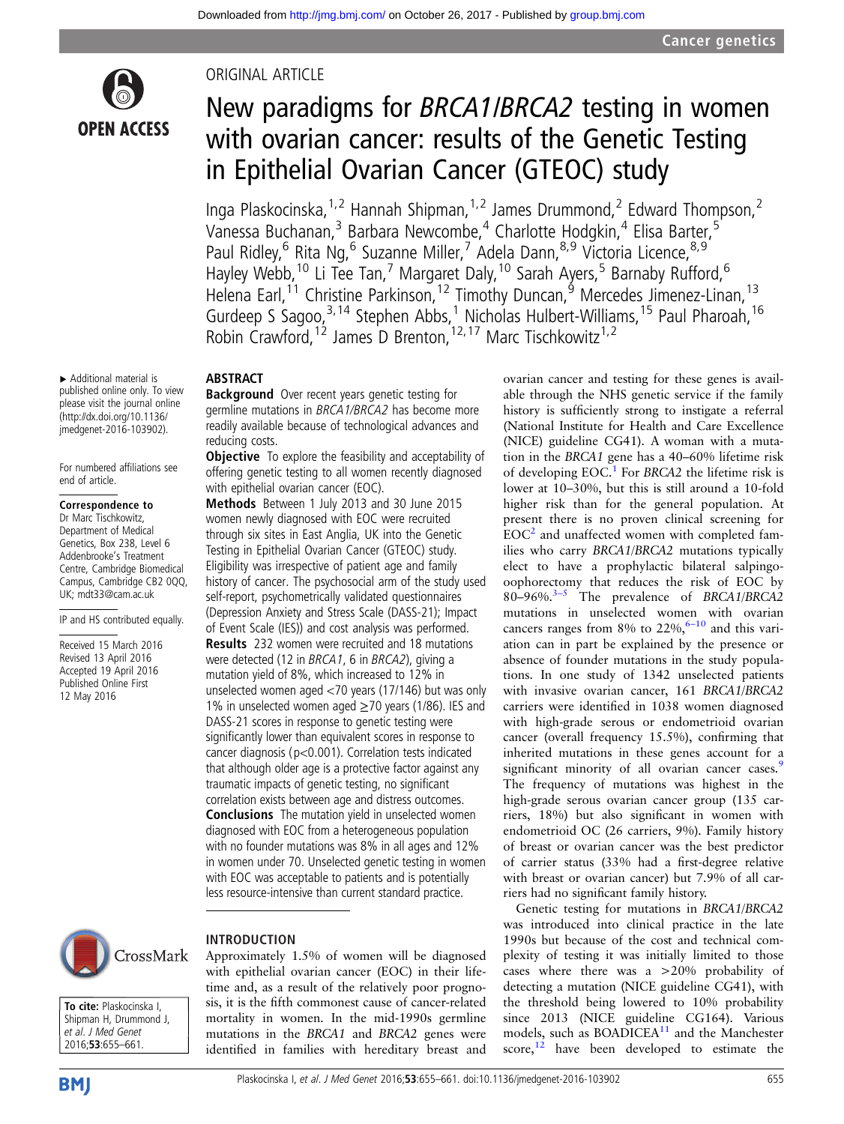

▸ Additional material is published online only. To view please visit the journal online [\(http://dx.doi.org/10.1136/](http://dx.doi.org/10.1136/jmedgenet-2016-103902) [jmedgenet-2016-103902\)](http://dx.doi.org/10.1136/jmedgenet-2016-103902).

For numbered affiliations see end of article.

#### Correspondence to

Dr Marc Tischkowitz, Department of Medical Genetics, Box 238, Level 6 Addenbrooke's Treatment Centre, Cambridge Biomedical Campus, Cambridge CB2 0QQ, UK; mdt33@cam.ac.uk

IP and HS contributed equally.

Received 15 March 2016 Revised 13 April 2016 Accepted 19 April 2016 Published Online First 12 May 2016



To cite: Plaskocinska I, Shipman H, Drummond J, et al. J Med Genet 2016;53:655–661.

## ORIGINAL ARTICLE

# New paradigms for BRCA1/BRCA2 testing in women with ovarian cancer: results of the Genetic Testing in Epithelial Ovarian Cancer (GTEOC) study

Inga Plaskocinska,<sup>1,2</sup> Hannah Shipman,<sup>1,2</sup> James Drummond,<sup>2</sup> Edward Thompson,<sup>2</sup> Vanessa Buchanan,<sup>3</sup> Barbara Newcombe,<sup>4</sup> Charlotte Hodgkin,<sup>4</sup> Elisa Barter,<sup>5</sup> Paul Ridley,  $\frac{6}{100}$  Rita Ng,  $\frac{6}{100}$  Suzanne Miller,  $\frac{7}{100}$  Adela Dann,  $\frac{8.9}{100}$  Victoria Licence,  $\frac{8.9}{100}$ Hayley Webb,<sup>10</sup> Li Tee Tan,<sup>7</sup> Margaret Daly,<sup>10</sup> Sarah Ayers,<sup>5</sup> Barnaby Rufford,<sup>6</sup> Helena Earl, <sup>11</sup> Christine Parkinson, <sup>12</sup> Timothy Duncan, <sup>9</sup> Mercedes Jimenez-Linan, <sup>13</sup> Gurdeep S Sagoo,<sup>3,14</sup> Stephen Abbs,<sup>1</sup> Nicholas Hulbert-Williams,<sup>15</sup> Paul Pharoah,<sup>16</sup> Robin Crawford,<sup>12</sup> James D Brenton, <sup>12, 17</sup> Marc Tischkowitz<sup>1,2</sup>

#### ABSTRACT

Background Over recent years genetic testing for germline mutations in BRCA1/BRCA2 has become more readily available because of technological advances and reducing costs.

**Objective** To explore the feasibility and acceptability of offering genetic testing to all women recently diagnosed with epithelial ovarian cancer (EOC).

Methods Between 1 July 2013 and 30 June 2015 women newly diagnosed with EOC were recruited through six sites in East Anglia, UK into the Genetic Testing in Epithelial Ovarian Cancer (GTEOC) study. Eligibility was irrespective of patient age and family history of cancer. The psychosocial arm of the study used self-report, psychometrically validated questionnaires (Depression Anxiety and Stress Scale (DASS-21); Impact of Event Scale (IES)) and cost analysis was performed. Results 232 women were recruited and 18 mutations were detected (12 in BRCA1, 6 in BRCA2), giving a mutation yield of 8%, which increased to 12% in unselected women aged <70 years (17/146) but was only 1% in unselected women aged  $\geq$  70 years (1/86). IES and DASS-21 scores in response to genetic testing were significantly lower than equivalent scores in response to cancer diagnosis (p<0.001). Correlation tests indicated that although older age is a protective factor against any traumatic impacts of genetic testing, no significant correlation exists between age and distress outcomes. **Conclusions** The mutation yield in unselected women diagnosed with EOC from a heterogeneous population with no founder mutations was 8% in all ages and 12% in women under 70. Unselected genetic testing in women with EOC was acceptable to patients and is potentially less resource-intensive than current standard practice.

INTRODUCTION

Approximately 1.5% of women will be diagnosed with epithelial ovarian cancer (EOC) in their lifetime and, as a result of the relatively poor prognosis, it is the fifth commonest cause of cancer-related mortality in women. In the mid-1990s germline mutations in the BRCA1 and BRCA2 genes were identified in families with hereditary breast and

ovarian cancer and testing for these genes is available through the NHS genetic service if the family history is sufficiently strong to instigate a referral (National Institute for Health and Care Excellence (NICE) guideline CG41). A woman with a mutation in the BRCA1 gene has a 40–60% lifetime risk of developing  $EOC<sup>1</sup>$  For BRCA2 the lifetime risk is lower at 10–30%, but this is still around a 10-fold higher risk than for the general population. At present there is no proven clinical screening for  $EOC<sup>2</sup>$  and unaffected women with completed families who carry BRCA1/BRCA2 mutations typically elect to have a prophylactic bilateral salpingooophorectomy that reduces the risk of EOC by  $80-96\%$ .<sup>3–5</sup> The prevalence of BRCA1/BRCA2 mutations in unselected women with ovarian cancers ranges from 8% to  $22\%$ ,  $6-10$  $6-10$  and this variation can in part be explained by the presence or absence of founder mutations in the study populations. In one study of 1342 unselected patients with invasive ovarian cancer, 161 BRCA1/BRCA2 carriers were identified in 1038 women diagnosed with high-grade serous or endometrioid ovarian cancer (overall frequency 15.5%), confirming that inherited mutations in these genes account for a significant minority of all ovarian cancer cases.<sup>[9](#page-6-0)</sup> The frequency of mutations was highest in the high-grade serous ovarian cancer group (135 carriers, 18%) but also significant in women with endometrioid OC (26 carriers, 9%). Family history of breast or ovarian cancer was the best predictor of carrier status (33% had a first-degree relative with breast or ovarian cancer) but 7.9% of all carriers had no significant family history.

Genetic testing for mutations in BRCA1/BRCA2 was introduced into clinical practice in the late 1990s but because of the cost and technical complexity of testing it was initially limited to those cases where there was a >20% probability of detecting a mutation (NICE guideline CG41), with the threshold being lowered to 10% probability since 2013 (NICE guideline CG164). Various models, such as BOADICEA<sup>[11](#page-6-0)</sup> and the Manchester score, $12$  have been developed to estimate the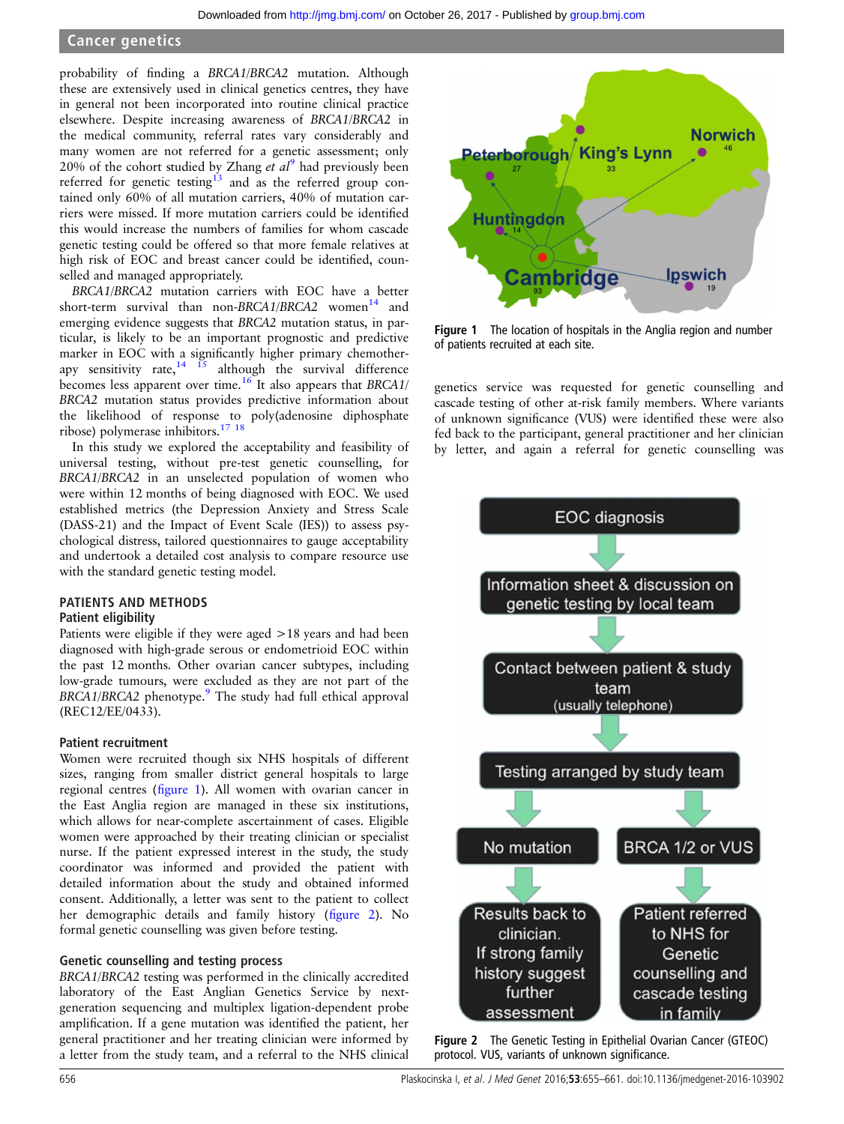# <span id="page-1-0"></span>Cancer genetics

probability of finding a BRCA1/BRCA2 mutation. Although these are extensively used in clinical genetics centres, they have in general not been incorporated into routine clinical practice elsewhere. Despite increasing awareness of BRCA1/BRCA2 in the medical community, referral rates vary considerably and many women are not referred for a genetic assessment; only 20% of the cohort studied by Zhang et  $al^9$  $al^9$  had previously been referred for genetic testing $13$  and as the referred group contained only 60% of all mutation carriers, 40% of mutation carriers were missed. If more mutation carriers could be identified this would increase the numbers of families for whom cascade genetic testing could be offered so that more female relatives at high risk of EOC and breast cancer could be identified, counselled and managed appropriately.

BRCA1/BRCA2 mutation carriers with EOC have a better short-term survival than non-BRCA1/BRCA2 women $14$  and emerging evidence suggests that BRCA2 mutation status, in particular, is likely to be an important prognostic and predictive marker in EOC with a significantly higher primary chemotherapy sensitivity rate,  $14 \overline{15}$  although the survival difference becomes less apparent over time.<sup>16</sup> It also appears that *BRCA1/* BRCA2 mutation status provides predictive information about the likelihood of response to poly(adenosine diphosphate ribose) polymerase inhibitors.<sup>17</sup><sup>18</sup>

In this study we explored the acceptability and feasibility of universal testing, without pre-test genetic counselling, for BRCA1/BRCA2 in an unselected population of women who were within 12 months of being diagnosed with EOC. We used established metrics (the Depression Anxiety and Stress Scale (DASS-21) and the Impact of Event Scale (IES)) to assess psychological distress, tailored questionnaires to gauge acceptability and undertook a detailed cost analysis to compare resource use with the standard genetic testing model.

# PATIENTS AND METHODS

#### Patient eligibility

Patients were eligible if they were aged >18 years and had been diagnosed with high-grade serous or endometrioid EOC within the past 12 months. Other ovarian cancer subtypes, including low-grade tumours, were excluded as they are not part of the BRCA1/BRCA2 phenotype.<sup>[9](#page-6-0)</sup> The study had full ethical approval (REC12/EE/0433).

#### Patient recruitment

Women were recruited though six NHS hospitals of different sizes, ranging from smaller district general hospitals to large regional centres (figure 1). All women with ovarian cancer in the East Anglia region are managed in these six institutions, which allows for near-complete ascertainment of cases. Eligible women were approached by their treating clinician or specialist nurse. If the patient expressed interest in the study, the study coordinator was informed and provided the patient with detailed information about the study and obtained informed consent. Additionally, a letter was sent to the patient to collect her demographic details and family history (figure 2). No formal genetic counselling was given before testing.

#### Genetic counselling and testing process

BRCA1/BRCA2 testing was performed in the clinically accredited laboratory of the East Anglian Genetics Service by nextgeneration sequencing and multiplex ligation-dependent probe amplification. If a gene mutation was identified the patient, her general practitioner and her treating clinician were informed by a letter from the study team, and a referral to the NHS clinical



**Figure 1** The location of hospitals in the Anglia region and number of patients recruited at each site.

genetics service was requested for genetic counselling and cascade testing of other at-risk family members. Where variants of unknown significance (VUS) were identified these were also fed back to the participant, general practitioner and her clinician by letter, and again a referral for genetic counselling was



Figure 2 The Genetic Testing in Epithelial Ovarian Cancer (GTEOC) protocol. VUS, variants of unknown significance.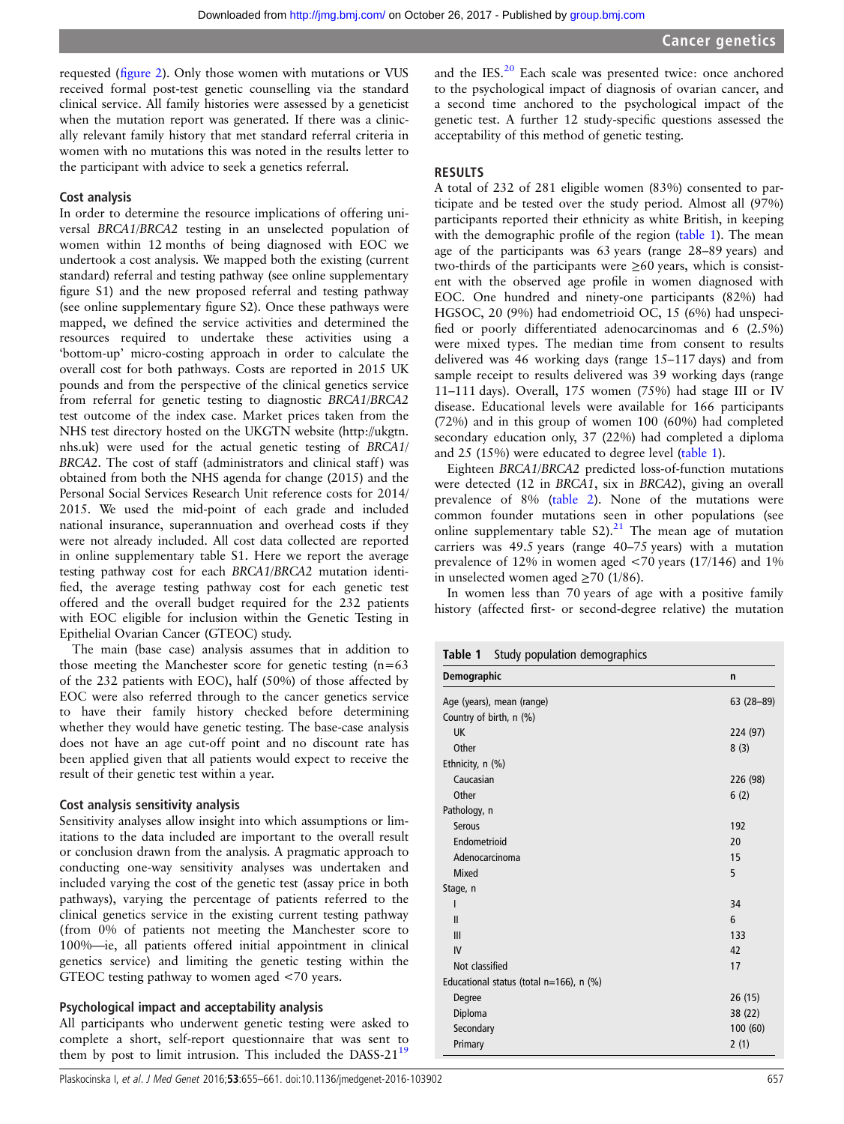requested (fi[gure 2\)](#page-1-0). Only those women with mutations or VUS received formal post-test genetic counselling via the standard clinical service. All family histories were assessed by a geneticist when the mutation report was generated. If there was a clinically relevant family history that met standard referral criteria in women with no mutations this was noted in the results letter to the participant with advice to seek a genetics referral.

#### Cost analysis

In order to determine the resource implications of offering universal BRCA1/BRCA2 testing in an unselected population of women within 12 months of being diagnosed with EOC we undertook a cost analysis. We mapped both the existing (current standard) referral and testing pathway (see online supplementary figure S1) and the new proposed referral and testing pathway (see online supplementary figure S2). Once these pathways were mapped, we defined the service activities and determined the resources required to undertake these activities using a 'bottom-up' micro-costing approach in order to calculate the overall cost for both pathways. Costs are reported in 2015 UK pounds and from the perspective of the clinical genetics service from referral for genetic testing to diagnostic BRCA1/BRCA2 test outcome of the index case. Market prices taken from the NHS test directory hosted on the UKGTN website ([http://ukgtn.](http://ukgtn.nhs.uk) [nhs.uk](http://ukgtn.nhs.uk)) were used for the actual genetic testing of BRCA1/ BRCA2. The cost of staff (administrators and clinical staff) was obtained from both the NHS agenda for change (2015) and the Personal Social Services Research Unit reference costs for 2014/ 2015. We used the mid-point of each grade and included national insurance, superannuation and overhead costs if they were not already included. All cost data collected are reported in online supplementary table S1. Here we report the average testing pathway cost for each BRCA1/BRCA2 mutation identified, the average testing pathway cost for each genetic test offered and the overall budget required for the 232 patients with EOC eligible for inclusion within the Genetic Testing in Epithelial Ovarian Cancer (GTEOC) study.

The main (base case) analysis assumes that in addition to those meeting the Manchester score for genetic testing (n=63 of the 232 patients with EOC), half (50%) of those affected by EOC were also referred through to the cancer genetics service to have their family history checked before determining whether they would have genetic testing. The base-case analysis does not have an age cut-off point and no discount rate has been applied given that all patients would expect to receive the result of their genetic test within a year.

#### Cost analysis sensitivity analysis

Sensitivity analyses allow insight into which assumptions or limitations to the data included are important to the overall result or conclusion drawn from the analysis. A pragmatic approach to conducting one-way sensitivity analyses was undertaken and included varying the cost of the genetic test (assay price in both pathways), varying the percentage of patients referred to the clinical genetics service in the existing current testing pathway (from 0% of patients not meeting the Manchester score to 100%—ie, all patients offered initial appointment in clinical genetics service) and limiting the genetic testing within the GTEOC testing pathway to women aged <70 years.

#### Psychological impact and acceptability analysis

All participants who underwent genetic testing were asked to complete a short, self-report questionnaire that was sent to them by post to limit intrusion. This included the DASS- $21^{19}$ 

#### RESULTS

A total of 232 of 281 eligible women (83%) consented to participate and be tested over the study period. Almost all (97%) participants reported their ethnicity as white British, in keeping with the demographic profile of the region (table 1). The mean age of the participants was 63 years (range 28–89 years) and two-thirds of the participants were  $\geq 60$  years, which is consistent with the observed age profile in women diagnosed with EOC. One hundred and ninety-one participants (82%) had HGSOC, 20 (9%) had endometrioid OC, 15 (6%) had unspecified or poorly differentiated adenocarcinomas and 6 (2.5%) were mixed types. The median time from consent to results delivered was 46 working days (range 15–117 days) and from sample receipt to results delivered was 39 working days (range 11–111 days). Overall, 175 women (75%) had stage III or IV disease. Educational levels were available for 166 participants (72%) and in this group of women 100 (60%) had completed secondary education only, 37 (22%) had completed a diploma and 25 (15%) were educated to degree level (table 1).

Eighteen BRCA1/BRCA2 predicted loss-of-function mutations were detected (12 in BRCA1, six in BRCA2), giving an overall prevalence of 8% ([table 2](#page-3-0)). None of the mutations were common founder mutations seen in other populations (see online supplementary table  $S2$ ).<sup>[21](#page-6-0)</sup> The mean age of mutation carriers was 49.5 years (range 40–75 years) with a mutation prevalence of 12% in women aged <70 years (17/146) and 1% in unselected women aged  $\geq$ 70 (1/86).

In women less than 70 years of age with a positive family history (affected first- or second-degree relative) the mutation

| Study population demographics<br>Table 1   |              |  |  |
|--------------------------------------------|--------------|--|--|
| <b>Demographic</b>                         | $\mathsf{n}$ |  |  |
| Age (years), mean (range)                  | 63 (28-89)   |  |  |
| Country of birth, n (%)                    |              |  |  |
| <b>UK</b>                                  | 224 (97)     |  |  |
| Other                                      | 8(3)         |  |  |
| Ethnicity, n (%)                           |              |  |  |
| Caucasian                                  | 226 (98)     |  |  |
| Other                                      | 6(2)         |  |  |
| Pathology, n                               |              |  |  |
| Serous                                     | 192          |  |  |
| Endometrioid                               | 20           |  |  |
| Adenocarcinoma                             | 15           |  |  |
| <b>Mixed</b>                               | 5            |  |  |
| Stage, n                                   |              |  |  |
| ı                                          | 34           |  |  |
| $\mathbf{I}$                               | 6            |  |  |
| Ш                                          | 133          |  |  |
| IV                                         | 42           |  |  |
| Not classified                             | 17           |  |  |
| Educational status (total $n=166$ ), n (%) |              |  |  |
| Degree                                     | 26 (15)      |  |  |
| Diploma                                    | 38 (22)      |  |  |
| Secondary                                  | 100 (60)     |  |  |
| Primary                                    | 2(1)         |  |  |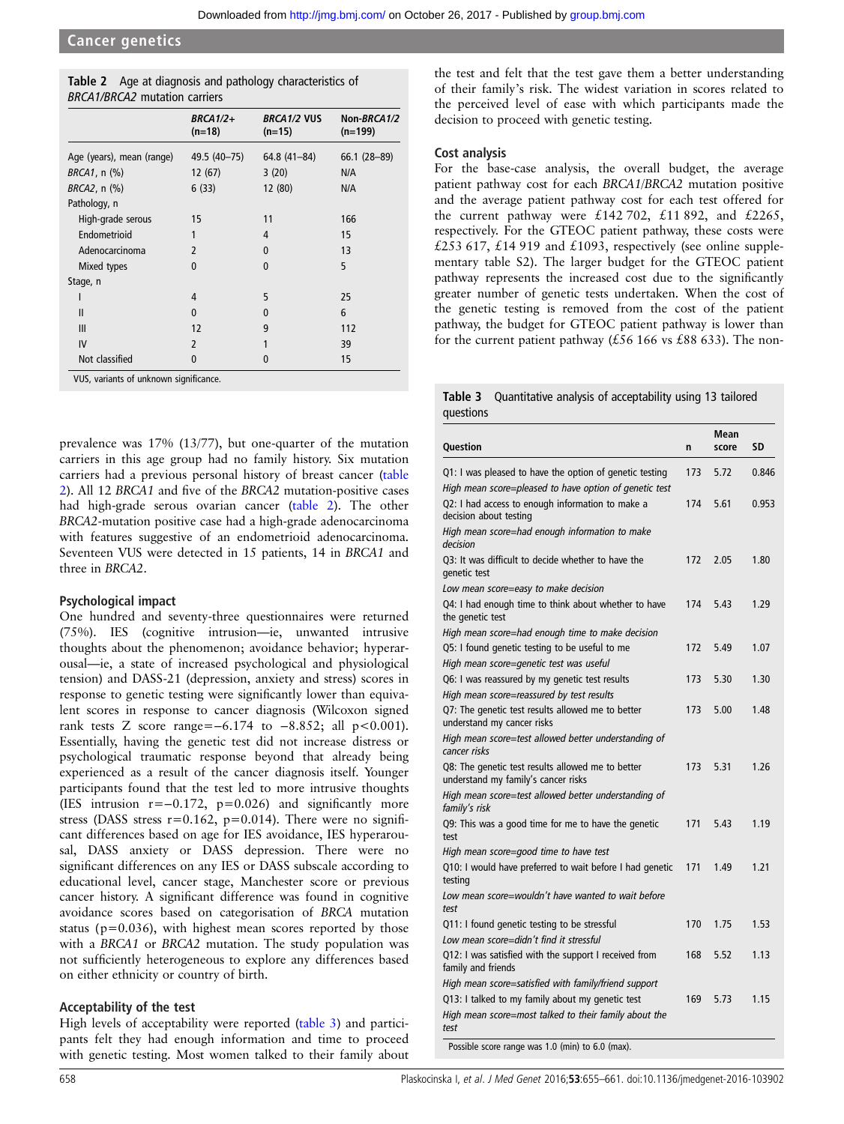<span id="page-3-0"></span>

| <b>Table 2</b> Age at diagnosis and pathology characteristics of |
|------------------------------------------------------------------|
| <i>BRCA1/BRCA2</i> mutation carriers                             |

|                           | $BRCA1/2+$<br>$(n=18)$ | <b>BRCA1/2 VUS</b><br>$(n=15)$ | Non-BRCA1/2<br>$(n=199)$ |
|---------------------------|------------------------|--------------------------------|--------------------------|
| Age (years), mean (range) | 49.5 (40-75)           | $64.8(41-84)$                  | 66.1 (28-89)             |
| $BRCA1$ , n $(\%)$        | 12 (67)                | 3(20)                          | N/A                      |
| $BRCA2$ , n $(\%)$        | 6(33)                  | 12 (80)                        | N/A                      |
| Pathology, n              |                        |                                |                          |
| High-grade serous         | 15                     | 11                             | 166                      |
| Endometrioid              | 1                      | 4                              | 15                       |
| Adenocarcinoma            | $\overline{2}$         | $\mathbf{0}$                   | 13                       |
| Mixed types               | 0                      | $\mathbf{0}$                   | 5                        |
| Stage, n                  |                        |                                |                          |
|                           | $\overline{4}$         | 5                              | 25                       |
| $\mathbf{I}$              | $\mathbf{0}$           | 0                              | 6                        |
| Ш                         | 12                     | 9                              | 112                      |
| IV                        | $\overline{2}$         | 1                              | 39                       |
| Not classified            | $\mathbf{0}$           | 0                              | 15                       |

prevalence was 17% (13/77), but one-quarter of the mutation carriers in this age group had no family history. Six mutation carriers had a previous personal history of breast cancer (table 2). All 12 BRCA1 and five of the BRCA2 mutation-positive cases had high-grade serous ovarian cancer (table 2). The other BRCA2-mutation positive case had a high-grade adenocarcinoma with features suggestive of an endometrioid adenocarcinoma. Seventeen VUS were detected in 15 patients, 14 in BRCA1 and three in BRCA2.

#### Psychological impact

One hundred and seventy-three questionnaires were returned (75%). IES (cognitive intrusion—ie, unwanted intrusive thoughts about the phenomenon; avoidance behavior; hyperarousal—ie, a state of increased psychological and physiological tension) and DASS-21 (depression, anxiety and stress) scores in response to genetic testing were significantly lower than equivalent scores in response to cancer diagnosis (Wilcoxon signed rank tests Z score range= $-6.174$  to  $-8.852$ ; all p<0.001). Essentially, having the genetic test did not increase distress or psychological traumatic response beyond that already being experienced as a result of the cancer diagnosis itself. Younger participants found that the test led to more intrusive thoughts (IES intrusion r=−0.172, p=0.026) and significantly more stress (DASS stress  $r=0.162$ ,  $p=0.014$ ). There were no significant differences based on age for IES avoidance, IES hyperarousal, DASS anxiety or DASS depression. There were no significant differences on any IES or DASS subscale according to educational level, cancer stage, Manchester score or previous cancer history. A significant difference was found in cognitive avoidance scores based on categorisation of BRCA mutation status ( $p=0.036$ ), with highest mean scores reported by those with a BRCA1 or BRCA2 mutation. The study population was not sufficiently heterogeneous to explore any differences based on either ethnicity or country of birth.

### Acceptability of the test

High levels of acceptability were reported (table 3) and participants felt they had enough information and time to proceed with genetic testing. Most women talked to their family about

the test and felt that the test gave them a better understanding of their family's risk. The widest variation in scores related to the perceived level of ease with which participants made the decision to proceed with genetic testing.

#### Cost analysis

For the base-case analysis, the overall budget, the average patient pathway cost for each BRCA1/BRCA2 mutation positive and the average patient pathway cost for each test offered for the current pathway were £142 702, £11 892, and £2265, respectively. For the GTEOC patient pathway, these costs were £253 617, £14 919 and £1093, respectively (see online supplementary table S2). The larger budget for the GTEOC patient pathway represents the increased cost due to the significantly greater number of genetic tests undertaken. When the cost of the genetic testing is removed from the cost of the patient pathway, the budget for GTEOC patient pathway is lower than for the current patient pathway (£56 166 vs £88 633). The non-

Table 3 Quantitative analysis of acceptability using 13 tailored questions

| Question                                                                                 | n   | Mean<br>score | <b>SD</b> |
|------------------------------------------------------------------------------------------|-----|---------------|-----------|
| Q1: I was pleased to have the option of genetic testing                                  | 173 | 5.72          | 0.846     |
| High mean score=pleased to have option of genetic test                                   |     |               |           |
| Q2: I had access to enough information to make a<br>decision about testing               | 174 | 5.61          | 0.953     |
| High mean score=had enough information to make<br>decision                               |     |               |           |
| O3: It was difficult to decide whether to have the<br>genetic test                       | 172 | 2.05          | 1.80      |
| Low mean score=easy to make decision                                                     |     |               |           |
| Q4: I had enough time to think about whether to have<br>the genetic test                 | 174 | 5.43          | 1.29      |
| High mean score=had enough time to make decision                                         |     |               |           |
| Q5: I found genetic testing to be useful to me                                           | 172 | 5.49          | 1.07      |
| High mean score=genetic test was useful                                                  |     |               |           |
| Q6: I was reassured by my genetic test results                                           | 173 | 5.30          | 1.30      |
| High mean score=reassured by test results                                                |     |               |           |
| Q7: The genetic test results allowed me to better<br>understand my cancer risks          | 173 | 5.00          | 1.48      |
| High mean score=test allowed better understanding of<br>cancer risks                     |     |               |           |
| Q8: The genetic test results allowed me to better<br>understand my family's cancer risks | 173 | 5.31          | 1.26      |
| High mean score=test allowed better understanding of<br>family's risk                    |     |               |           |
| Q9: This was a good time for me to have the genetic<br>test                              | 171 | 5.43          | 1.19      |
| High mean score=good time to have test                                                   |     |               |           |
| Q10: I would have preferred to wait before I had genetic<br>testing                      | 171 | 1.49          | 1.21      |
| Low mean score=wouldn't have wanted to wait before<br>test                               |     |               |           |
| Q11: I found genetic testing to be stressful                                             | 170 | 1.75          | 1.53      |
| Low mean score=didn't find it stressful                                                  |     |               |           |
| Q12: I was satisfied with the support I received from<br>family and friends              | 168 | 5.52          | 1.13      |
| High mean score=satisfied with family/friend support                                     |     |               |           |
| Q13: I talked to my family about my genetic test                                         | 169 | 5.73          | 1.15      |
| High mean score=most talked to their family about the<br>test                            |     |               |           |
| Bossible scare range was 1.0 (min) to $\epsilon$ 0 (may)                                 |     |               |           |

'ossible score range was 1.0 (min) to 6.0 (max).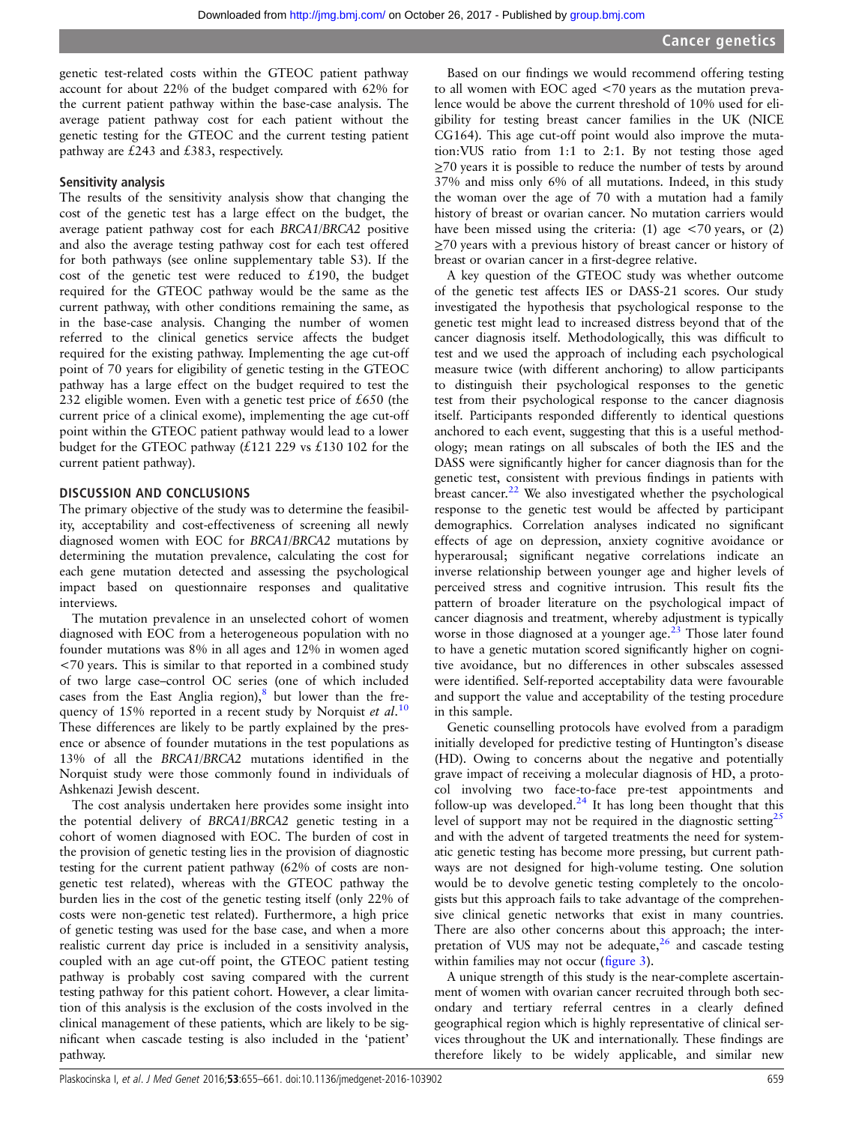genetic test-related costs within the GTEOC patient pathway account for about 22% of the budget compared with 62% for the current patient pathway within the base-case analysis. The average patient pathway cost for each patient without the genetic testing for the GTEOC and the current testing patient pathway are £243 and £383, respectively.

#### Sensitivity analysis

The results of the sensitivity analysis show that changing the cost of the genetic test has a large effect on the budget, the average patient pathway cost for each BRCA1/BRCA2 positive and also the average testing pathway cost for each test offered for both pathways (see online supplementary table S3). If the cost of the genetic test were reduced to  $£190$ , the budget required for the GTEOC pathway would be the same as the current pathway, with other conditions remaining the same, as in the base-case analysis. Changing the number of women referred to the clinical genetics service affects the budget required for the existing pathway. Implementing the age cut-off point of 70 years for eligibility of genetic testing in the GTEOC pathway has a large effect on the budget required to test the 232 eligible women. Even with a genetic test price of £650 (the current price of a clinical exome), implementing the age cut-off point within the GTEOC patient pathway would lead to a lower budget for the GTEOC pathway (£121 229 vs £130 102 for the current patient pathway).

#### DISCUSSION AND CONCLUSIONS

The primary objective of the study was to determine the feasibility, acceptability and cost-effectiveness of screening all newly diagnosed women with EOC for BRCA1/BRCA2 mutations by determining the mutation prevalence, calculating the cost for each gene mutation detected and assessing the psychological impact based on questionnaire responses and qualitative interviews.

The mutation prevalence in an unselected cohort of women diagnosed with EOC from a heterogeneous population with no founder mutations was 8% in all ages and 12% in women aged <70 years. This is similar to that reported in a combined study of two large case–control OC series (one of which included cases from the East Anglia region), $8$  but lower than the fre-quency of 15% reported in a recent study by Norquist et al.<sup>[10](#page-6-0)</sup> These differences are likely to be partly explained by the presence or absence of founder mutations in the test populations as 13% of all the BRCA1/BRCA2 mutations identified in the Norquist study were those commonly found in individuals of Ashkenazi Jewish descent.

The cost analysis undertaken here provides some insight into the potential delivery of BRCA1/BRCA2 genetic testing in a cohort of women diagnosed with EOC. The burden of cost in the provision of genetic testing lies in the provision of diagnostic testing for the current patient pathway (62% of costs are nongenetic test related), whereas with the GTEOC pathway the burden lies in the cost of the genetic testing itself (only 22% of costs were non-genetic test related). Furthermore, a high price of genetic testing was used for the base case, and when a more realistic current day price is included in a sensitivity analysis, coupled with an age cut-off point, the GTEOC patient testing pathway is probably cost saving compared with the current testing pathway for this patient cohort. However, a clear limitation of this analysis is the exclusion of the costs involved in the clinical management of these patients, which are likely to be significant when cascade testing is also included in the 'patient' pathway.

Based on our findings we would recommend offering testing to all women with EOC aged <70 years as the mutation prevalence would be above the current threshold of 10% used for eligibility for testing breast cancer families in the UK (NICE CG164). This age cut-off point would also improve the mutation:VUS ratio from 1:1 to 2:1. By not testing those aged ≥70 years it is possible to reduce the number of tests by around 37% and miss only 6% of all mutations. Indeed, in this study the woman over the age of 70 with a mutation had a family history of breast or ovarian cancer. No mutation carriers would have been missed using the criteria: (1) age  $\lt 70$  years, or (2) ≥70 years with a previous history of breast cancer or history of breast or ovarian cancer in a first-degree relative.

A key question of the GTEOC study was whether outcome of the genetic test affects IES or DASS-21 scores. Our study investigated the hypothesis that psychological response to the genetic test might lead to increased distress beyond that of the cancer diagnosis itself. Methodologically, this was difficult to test and we used the approach of including each psychological measure twice (with different anchoring) to allow participants to distinguish their psychological responses to the genetic test from their psychological response to the cancer diagnosis itself. Participants responded differently to identical questions anchored to each event, suggesting that this is a useful methodology; mean ratings on all subscales of both the IES and the DASS were significantly higher for cancer diagnosis than for the genetic test, consistent with previous findings in patients with breast cancer.<sup>[22](#page-6-0)</sup> We also investigated whether the psychological response to the genetic test would be affected by participant demographics. Correlation analyses indicated no significant effects of age on depression, anxiety cognitive avoidance or hyperarousal; significant negative correlations indicate an inverse relationship between younger age and higher levels of perceived stress and cognitive intrusion. This result fits the pattern of broader literature on the psychological impact of cancer diagnosis and treatment, whereby adjustment is typically worse in those diagnosed at a younger age. $2<sup>3</sup>$  Those later found to have a genetic mutation scored significantly higher on cognitive avoidance, but no differences in other subscales assessed were identified. Self-reported acceptability data were favourable and support the value and acceptability of the testing procedure in this sample.

Genetic counselling protocols have evolved from a paradigm initially developed for predictive testing of Huntington's disease (HD). Owing to concerns about the negative and potentially grave impact of receiving a molecular diagnosis of HD, a protocol involving two face-to-face pre-test appointments and follow-up was developed.<sup>[24](#page-6-0)</sup> It has long been thought that this level of support may not be required in the diagnostic setting $2<sup>5</sup>$ and with the advent of targeted treatments the need for systematic genetic testing has become more pressing, but current pathways are not designed for high-volume testing. One solution would be to devolve genetic testing completely to the oncologists but this approach fails to take advantage of the comprehensive clinical genetic networks that exist in many countries. There are also other concerns about this approach; the interpretation of VUS may not be adequate, $26$  and cascade testing within families may not occur (fi[gure 3](#page-5-0)).

A unique strength of this study is the near-complete ascertainment of women with ovarian cancer recruited through both secondary and tertiary referral centres in a clearly defined geographical region which is highly representative of clinical services throughout the UK and internationally. These findings are therefore likely to be widely applicable, and similar new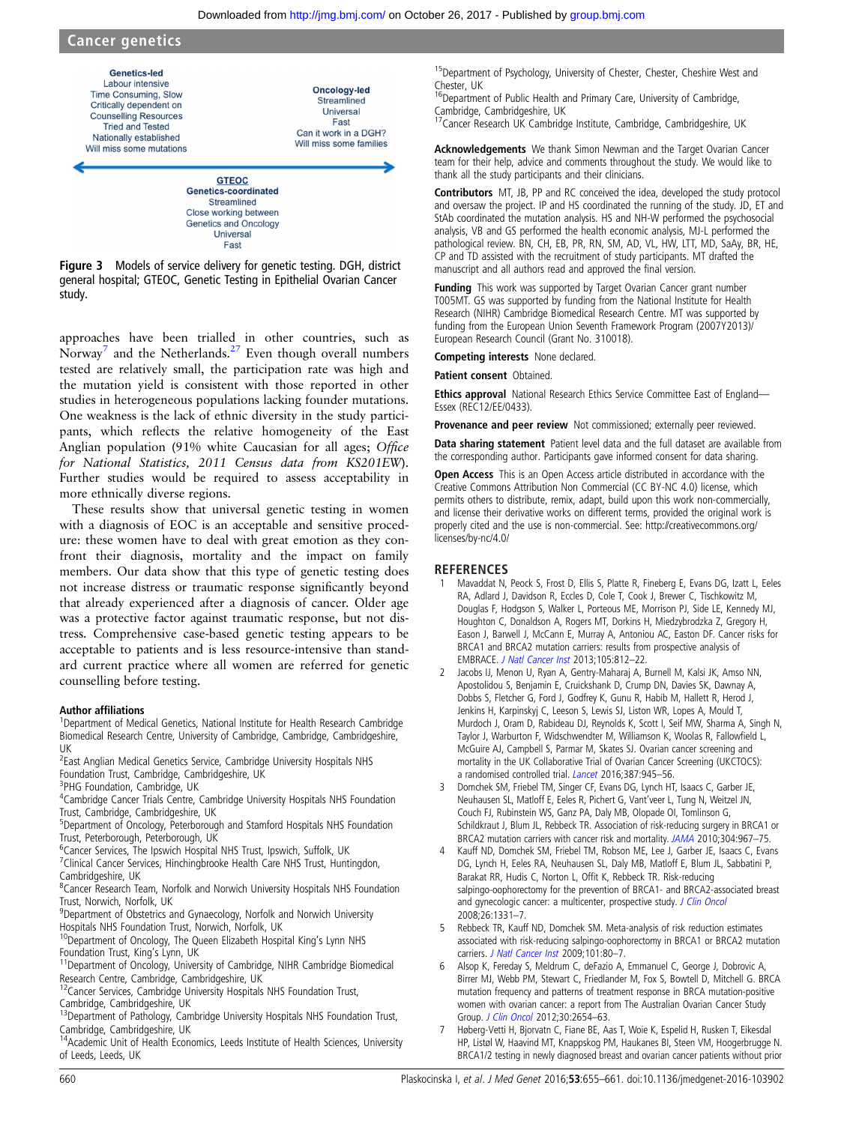<span id="page-5-0"></span>

Figure 3 Models of service delivery for genetic testing. DGH, district general hospital; GTEOC, Genetic Testing in Epithelial Ovarian Cancer study.

approaches have been trialled in other countries, such as  $\overline{\text{Norway}}^7$  and the Netherlands.<sup>27</sup> Even though overall numbers tested are relatively small, the participation rate was high and the mutation yield is consistent with those reported in other studies in heterogeneous populations lacking founder mutations. One weakness is the lack of ethnic diversity in the study participants, which reflects the relative homogeneity of the East Anglian population (91% white Caucasian for all ages; Office for National Statistics, 2011 Census data from KS201EW). Further studies would be required to assess acceptability in more ethnically diverse regions.

These results show that universal genetic testing in women with a diagnosis of EOC is an acceptable and sensitive procedure: these women have to deal with great emotion as they confront their diagnosis, mortality and the impact on family members. Our data show that this type of genetic testing does not increase distress or traumatic response significantly beyond that already experienced after a diagnosis of cancer. Older age was a protective factor against traumatic response, but not distress. Comprehensive case-based genetic testing appears to be acceptable to patients and is less resource-intensive than standard current practice where all women are referred for genetic counselling before testing.

#### Author affiliations <sup>1</sup>

<sup>1</sup>Department of Medical Genetics, National Institute for Health Research Cambridge Biomedical Research Centre, University of Cambridge, Cambridge, Cambridgeshire, UK

<sup>2</sup> East Anglian Medical Genetics Service, Cambridge University Hospitals NHS Foundation Trust, Cambridge, Cambridgeshire, UK

<sup>3</sup>PHG Foundation, Cambridge, UK

<sup>4</sup>Cambridge Cancer Trials Centre, Cambridge University Hospitals NHS Foundation Trust, Cambridge, Cambridgeshire, UK

<sup>5</sup>Department of Oncology, Peterborough and Stamford Hospitals NHS Foundation Trust, Peterborough, Peterborough, UK

<sup>6</sup>Cancer Services, The Ipswich Hospital NHS Trust, Ipswich, Suffolk, UK

<sup>7</sup> Clinical Cancer Services, Hinchingbrooke Health Care NHS Trust, Huntingdon, Cambridgeshire, UK

<sup>8</sup> Cancer Research Team, Norfolk and Norwich University Hospitals NHS Foundation Trust, Norwich, Norfolk, UK

<sup>9</sup>Department of Obstetrics and Gynaecology, Norfolk and Norwich University Hospitals NHS Foundation Trust, Norwich, Norfolk, UK

<sup>10</sup>Department of Oncology, The Queen Elizabeth Hospital King's Lynn NHS

Foundation Trust, King's Lynn, UK<br><sup>11</sup>Department of Oncology, University of Cambridge, NIHR Cambridge Biomedical Research Centre, Cambridge, Cambridgeshire, UK

<sup>12</sup>Cancer Services, Cambridge University Hospitals NHS Foundation Trust,

Cambridge, Cambridgeshire, UK<br><sup>13</sup>Department of Pathology, Cambridge University Hospitals NHS Foundation Trust, Cambridge, Cambridgeshire, UK

<sup>14</sup> Academic Unit of Health Economics, Leeds Institute of Health Sciences, University of Leeds, Leeds, UK

<sup>15</sup>Department of Psychology, University of Chester, Chester, Cheshire West and

Chester, UK 16Department of Public Health and Primary Care, University of Cambridge, Cambridge, Cambridgeshire, UK<br><sup>17</sup>Cancer Research UK Cambridge Institute, Cambridge, Cambridgeshire, UK

Acknowledgements We thank Simon Newman and the Target Ovarian Cancer team for their help, advice and comments throughout the study. We would like to thank all the study participants and their clinicians.

Contributors MT, JB, PP and RC conceived the idea, developed the study protocol and oversaw the project. IP and HS coordinated the running of the study. JD, ET and StAb coordinated the mutation analysis. HS and NH-W performed the psychosocial analysis, VB and GS performed the health economic analysis, MJ-L performed the pathological review. BN, CH, EB, PR, RN, SM, AD, VL, HW, LTT, MD, SaAy, BR, HE, CP and TD assisted with the recruitment of study participants. MT drafted the manuscript and all authors read and approved the final version.

Funding This work was supported by Target Ovarian Cancer grant number T005MT. GS was supported by funding from the National Institute for Health Research (NIHR) Cambridge Biomedical Research Centre. MT was supported by funding from the European Union Seventh Framework Program (2007Y2013)/ European Research Council (Grant No. 310018).

Competing interests None declared.

Patient consent Obtained.

**Ethics approval** National Research Ethics Service Committee East of England— Essex (REC12/EE/0433).

Provenance and peer review Not commissioned; externally peer reviewed.

Data sharing statement Patient level data and the full dataset are available from the corresponding author. Participants gave informed consent for data sharing.

Open Access This is an Open Access article distributed in accordance with the Creative Commons Attribution Non Commercial (CC BY-NC 4.0) license, which permits others to distribute, remix, adapt, build upon this work non-commercially, and license their derivative works on different terms, provided the original work is properly cited and the use is non-commercial. See: [http://creativecommons.org/](http://creativecommons.org/licenses/by-nc/4.0/) [licenses/by-nc/4.0/](http://creativecommons.org/licenses/by-nc/4.0/)

#### **REFERENCES**

- 1 Mavaddat N, Peock S, Frost D, Ellis S, Platte R, Fineberg E, Evans DG, Izatt L, Eeles RA, Adlard J, Davidson R, Eccles D, Cole T, Cook J, Brewer C, Tischkowitz M, Douglas F, Hodgson S, Walker L, Porteous ME, Morrison PJ, Side LE, Kennedy MJ, Houghton C, Donaldson A, Rogers MT, Dorkins H, Miedzybrodzka Z, Gregory H, Eason J, Barwell J, McCann E, Murray A, Antoniou AC, Easton DF. Cancer risks for BRCA1 and BRCA2 mutation carriers: results from prospective analysis of EMBRACE. [J Natl Cancer Inst](http://dx.doi.org/10.1093/jnci/djt095) 2013;105:812–22.
- Jacobs IJ, Menon U, Ryan A, Gentry-Maharaj A, Burnell M, Kalsi JK, Amso NN, Apostolidou S, Benjamin E, Cruickshank D, Crump DN, Davies SK, Dawnay A, Dobbs S, Fletcher G, Ford J, Godfrey K, Gunu R, Habib M, Hallett R, Herod J, Jenkins H, Karpinskyj C, Leeson S, Lewis SJ, Liston WR, Lopes A, Mould T, Murdoch J, Oram D, Rabideau DJ, Reynolds K, Scott I, Seif MW, Sharma A, Singh N, Taylor J, Warburton F, Widschwendter M, Williamson K, Woolas R, Fallowfield L, McGuire AJ, Campbell S, Parmar M, Skates SJ. Ovarian cancer screening and mortality in the UK Collaborative Trial of Ovarian Cancer Screening (UKCTOCS): a randomised controlled trial. [Lancet](http://dx.doi.org/10.1016/S0140-6736(15)01224-6) 2016;387:945-56.
- 3 Domchek SM, Friebel TM, Singer CF, Evans DG, Lynch HT, Isaacs C, Garber JE, Neuhausen SL, Matloff E, Eeles R, Pichert G, Vant'veer L, Tung N, Weitzel JN, Couch FJ, Rubinstein WS, Ganz PA, Daly MB, Olopade OI, Tomlinson G, Schildkraut J, Blum JL, Rebbeck TR. Association of risk-reducing surgery in BRCA1 or BRCA2 mutation carriers with cancer risk and mortality. [JAMA](http://dx.doi.org/10.1001/jama.2010.1237) 2010;304:967–75.
- Kauff ND, Domchek SM, Friebel TM, Robson ME, Lee J, Garber JE, Isaacs C, Evans DG, Lynch H, Eeles RA, Neuhausen SL, Daly MB, Matloff E, Blum JL, Sabbatini P, Barakat RR, Hudis C, Norton L, Offit K, Rebbeck TR. Risk-reducing salpingo-oophorectomy for the prevention of BRCA1- and BRCA2-associated breast and gynecologic cancer: a multicenter, prospective study. [J Clin Oncol](http://dx.doi.org/10.1200/JCO.2007.13.9626) 2008;26:1331–7.
- 5 Rebbeck TR, Kauff ND, Domchek SM. Meta-analysis of risk reduction estimates associated with risk-reducing salpingo-oophorectomy in BRCA1 or BRCA2 mutation carriers. [J Natl Cancer Inst](http://dx.doi.org/10.1093/jnci/djn442) 2009;101:80-7.
- 6 Alsop K, Fereday S, Meldrum C, deFazio A, Emmanuel C, George J, Dobrovic A, Birrer MJ, Webb PM, Stewart C, Friedlander M, Fox S, Bowtell D, Mitchell G. BRCA mutation frequency and patterns of treatment response in BRCA mutation-positive women with ovarian cancer: a report from The Australian Ovarian Cancer Study Group. [J Clin Oncol](http://dx.doi.org/10.1200/JCO.2011.39.8545) 2012;30:2654-63.
- Høberg-Vetti H, Bjorvatn C, Fiane BE, Aas T, Woie K, Espelid H, Rusken T, Eikesdal HP, Listøl W, Haavind MT, Knappskog PM, Haukanes BI, Steen VM, Hoogerbrugge N. BRCA1/2 testing in newly diagnosed breast and ovarian cancer patients without prior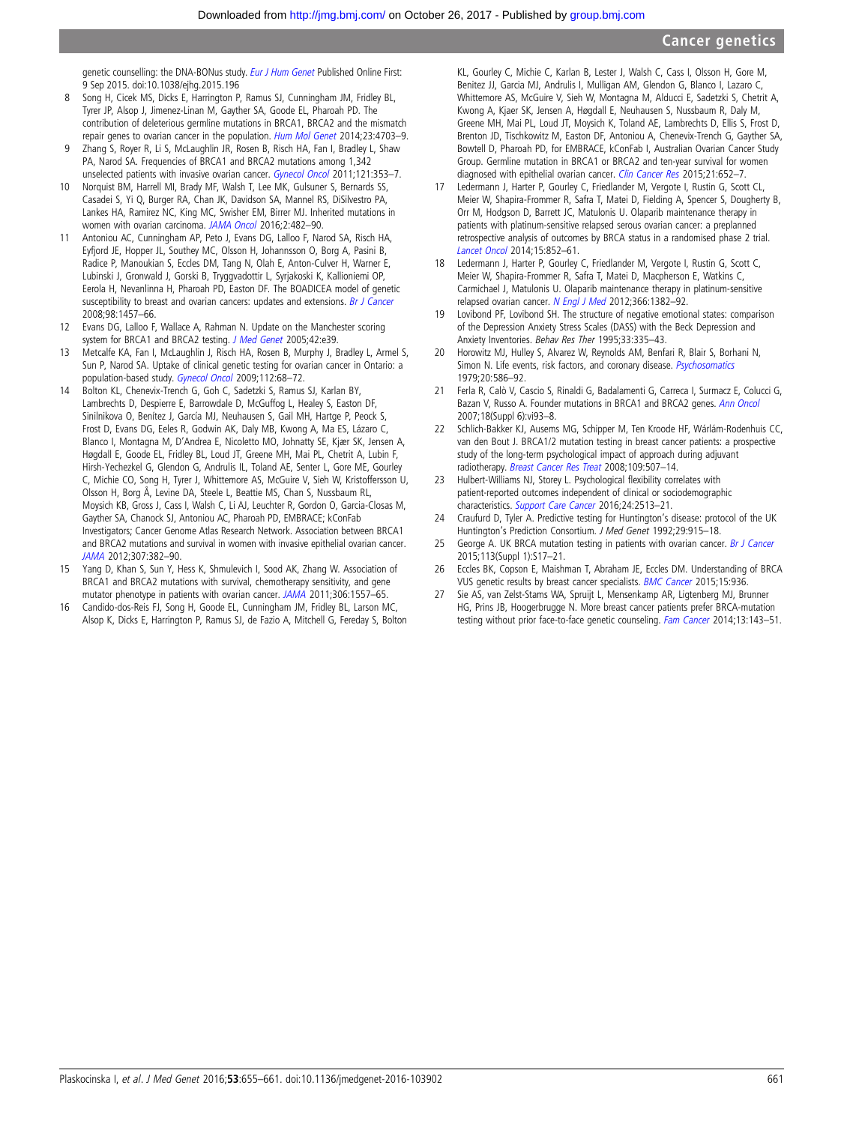<span id="page-6-0"></span>genetic counselling: the DNA-BONus study. [Eur J Hum Genet](http://dx.doi.org/10.1038/ejhg.2015.196) Published Online First: 9 Sep 2015. [doi:10.1038/ejhg.2015.196](http://dx.doi.org/10.1038/ejhg.2015.196)

- 8 Song H, Cicek MS, Dicks E, Harrington P, Ramus SJ, Cunningham JM, Fridley BL, Tyrer JP, Alsop J, Jimenez-Linan M, Gayther SA, Goode EL, Pharoah PD. The contribution of deleterious germline mutations in BRCA1, BRCA2 and the mismatch repair genes to ovarian cancer in the population. [Hum Mol Genet](http://dx.doi.org/10.1093/hmg/ddu172) 2014;23:4703-9.
- 9 Zhang S, Royer R, Li S, McLaughlin JR, Rosen B, Risch HA, Fan I, Bradley L, Shaw PA, Narod SA. Frequencies of BRCA1 and BRCA2 mutations among 1,342 unselected patients with invasive ovarian cancer. [Gynecol Oncol](http://dx.doi.org/10.1016/j.ygyno.2011.01.020) 2011;121:353-7.
- 10 Norquist BM, Harrell MI, Brady MF, Walsh T, Lee MK, Gulsuner S, Bernards SS, Casadei S, Yi Q, Burger RA, Chan JK, Davidson SA, Mannel RS, DiSilvestro PA, Lankes HA, Ramirez NC, King MC, Swisher EM, Birrer MJ. Inherited mutations in women with ovarian carcinoma. [JAMA Oncol](http://dx.doi.org/10.1001/jamaoncol.2015.5495) 2016;2:482–90.
- 11 Antoniou AC, Cunningham AP, Peto J, Evans DG, Lalloo F, Narod SA, Risch HA, Eyfjord JE, Hopper JL, Southey MC, Olsson H, Johannsson O, Borg A, Pasini B, Radice P, Manoukian S, Eccles DM, Tang N, Olah E, Anton-Culver H, Warner E, Lubinski J, Gronwald J, Gorski B, Tryggvadottir L, Syrjakoski K, Kallioniemi OP, Eerola H, Nevanlinna H, Pharoah PD, Easton DF. The BOADICEA model of genetic susceptibility to breast and ovarian cancers: updates and extensions. [Br J Cancer](http://dx.doi.org/10.1038/sj.bjc.6604305) 2008;98:1457–66.
- 12 Evans DG, Lalloo F, Wallace A, Rahman N. Update on the Manchester scoring system for BRCA1 and BRCA2 testing. [J Med Genet](http://dx.doi.org/10.1136/jmg.2005.031989) 2005;42:e39.
- 13 Metcalfe KA, Fan I, McLaughlin J, Risch HA, Rosen B, Murphy J, Bradley L, Armel S, Sun P, Narod SA. Uptake of clinical genetic testing for ovarian cancer in Ontario: a population-based study. [Gynecol Oncol](http://dx.doi.org/10.1016/j.ygyno.2008.10.007) 2009;112:68–72.
- 14 Bolton KL, Chenevix-Trench G, Goh C, Sadetzki S, Ramus SJ, Karlan BY, Lambrechts D, Despierre E, Barrowdale D, McGuffog L, Healey S, Easton DF, Sinilnikova O, Benítez J, García MJ, Neuhausen S, Gail MH, Hartge P, Peock S, Frost D, Evans DG, Eeles R, Godwin AK, Daly MB, Kwong A, Ma ES, Lázaro C, Blanco I, Montagna M, D'Andrea E, Nicoletto MO, Johnatty SE, Kjær SK, Jensen A, Høgdall E, Goode EL, Fridley BL, Loud JT, Greene MH, Mai PL, Chetrit A, Lubin F, Hirsh-Yechezkel G, Glendon G, Andrulis IL, Toland AE, Senter L, Gore ME, Gourley C, Michie CO, Song H, Tyrer J, Whittemore AS, McGuire V, Sieh W, Kristoffersson U, Olsson H, Borg Å, Levine DA, Steele L, Beattie MS, Chan S, Nussbaum RL, Moysich KB, Gross J, Cass I, Walsh C, Li AJ, Leuchter R, Gordon O, Garcia-Closas M, Gayther SA, Chanock SJ, Antoniou AC, Pharoah PD, EMBRACE; kConFab Investigators; Cancer Genome Atlas Research Network. Association between BRCA1 and BRCA2 mutations and survival in women with invasive epithelial ovarian cancer. [JAMA](http://dx.doi.org/10.1001/jama.2012.20) 2012;307:382–90.
- 15 Yang D, Khan S, Sun Y, Hess K, Shmulevich I, Sood AK, Zhang W. Association of BRCA1 and BRCA2 mutations with survival, chemotherapy sensitivity, and gene mutator phenotype in patients with ovarian cancer. [JAMA](http://dx.doi.org/10.1001/jama.2011.1456) 2011;306:1557-65.
- 16 Candido-dos-Reis FJ, Song H, Goode EL, Cunningham JM, Fridley BL, Larson MC, Alsop K, Dicks E, Harrington P, Ramus SJ, de Fazio A, Mitchell G, Fereday S, Bolton

KL, Gourley C, Michie C, Karlan B, Lester J, Walsh C, Cass I, Olsson H, Gore M, Benitez JJ, Garcia MJ, Andrulis I, Mulligan AM, Glendon G, Blanco I, Lazaro C, Whittemore AS, McGuire V, Sieh W, Montagna M, Alducci E, Sadetzki S, Chetrit A, Kwong A, Kjaer SK, Jensen A, Høgdall E, Neuhausen S, Nussbaum R, Daly M, Greene MH, Mai PL, Loud JT, Moysich K, Toland AE, Lambrechts D, Ellis S, Frost D, Brenton JD, Tischkowitz M, Easton DF, Antoniou A, Chenevix-Trench G, Gayther SA, Bowtell D, Pharoah PD, for EMBRACE, kConFab I, Australian Ovarian Cancer Study Group. Germline mutation in BRCA1 or BRCA2 and ten-year survival for women diagnosed with epithelial ovarian cancer. [Clin Cancer Res](http://dx.doi.org/10.1158/1078-0432.CCR-14-2497) 2015;21:652-7.

- Ledermann J, Harter P, Gourley C, Friedlander M, Vergote I, Rustin G, Scott CL, Meier W, Shapira-Frommer R, Safra T, Matei D, Fielding A, Spencer S, Dougherty B, Orr M, Hodgson D, Barrett JC, Matulonis U. Olaparib maintenance therapy in patients with platinum-sensitive relapsed serous ovarian cancer: a preplanned retrospective analysis of outcomes by BRCA status in a randomised phase 2 trial. [Lancet Oncol](http://dx.doi.org/10.1016/S1470-2045(14)70228-1) 2014;15:852–61.
- 18 Ledermann J, Harter P, Gourley C, Friedlander M, Vergote I, Rustin G, Scott C, Meier W, Shapira-Frommer R, Safra T, Matei D, Macpherson E, Watkins C, Carmichael J, Matulonis U. Olaparib maintenance therapy in platinum-sensitive relapsed ovarian cancer. [N Engl J Med](http://dx.doi.org/10.1056/NEJMoa1105535) 2012;366:1382-92.
- 19 Lovibond PF, Lovibond SH. The structure of negative emotional states: comparison of the Depression Anxiety Stress Scales (DASS) with the Beck Depression and Anxiety Inventories. Behav Res Ther 1995;33:335–43.
- 20 Horowitz MJ, Hulley S, Alvarez W, Reynolds AM, Benfari R, Blair S, Borhani N, Simon N. Life events, risk factors, and coronary disease. [Psychosomatics](http://dx.doi.org/10.1016/S0033-3182(79)70763-8) 1979;20:586–92.
- 21 Ferla R, Calò V, Cascio S, Rinaldi G, Badalamenti G, Carreca I, Surmacz E, Colucci G, Bazan V, Russo A. Founder mutations in BRCA1 and BRCA2 genes. [Ann Oncol](http://dx.doi.org/10.1093/annonc/mdm234) 2007;18(Suppl 6):vi93–8.
- 22 Schlich-Bakker KJ, Ausems MG, Schipper M, Ten Kroode HF, Wárlám-Rodenhuis CC, van den Bout J. BRCA1/2 mutation testing in breast cancer patients: a prospective study of the long-term psychological impact of approach during adjuvant radiotherapy. [Breast Cancer Res Treat](http://dx.doi.org/10.1007/s10549-007-9680-y) 2008;109:507–14.
- 23 Hulbert-Williams NJ, Storey L. Psychological flexibility correlates with patient-reported outcomes independent of clinical or sociodemographic characteristics. [Support Care Cancer](http://dx.doi.org/10.1007/s00520-015-3050-9) 2016;24:2513-21.
- 24 Craufurd D, Tyler A. Predictive testing for Huntington's disease: protocol of the UK Huntington's Prediction Consortium. J Med Genet 1992;29:915–18.
- 25 George A. UK BRCA mutation testing in patients with ovarian cancer. [Br J Cancer](http://dx.doi.org/10.1038/bjc.2015.396) 2015;113(Suppl 1):S17–21.
- 26 Eccles BK, Copson E, Maishman T, Abraham JE, Eccles DM. Understanding of BRCA VUS genetic results by breast cancer specialists. [BMC Cancer](http://dx.doi.org/10.1186/s12885-015-1934-1) 2015;15:936.
- 27 Sie AS, van Zelst-Stams WA, Spruijt L, Mensenkamp AR, Ligtenberg MJ, Brunner HG, Prins JB, Hoogerbrugge N. More breast cancer patients prefer BRCA-mutation testing without prior face-to-face genetic counseling. [Fam Cancer](http://dx.doi.org/10.1007/s10689-013-9686-z) 2014;13:143-51.